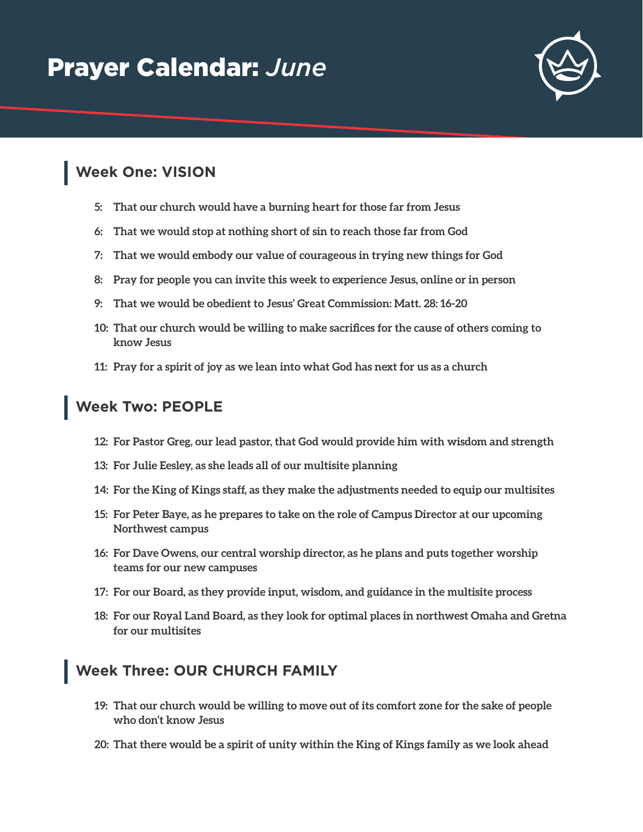

## **Week One: VISION**

- **5: That our church would have a burning heart for those far from Jesus**
- **6: That we would stop at nothing short of sin to reach those far from God**
- **7: That we would embody our value of courageous in trying new things for God**
- **8: Pray for people you can invite this week to experience Jesus, online or in person**
- **9: That we would be obedient to Jesus' Great Commission: Matt. 28: 16-20**
- **10: That our church would be willing to make sacrifices for the cause of others coming to know Jesus**
- **11: Pray for a spirit of joy as we lean into what God has next for us as a church**

## **Week Two: PEOPLE**

- **12: For Pastor Greg, our lead pastor, that God would provide him with wisdom and strength**
- **13: For Julie Eesley, as she leads all of our multisite planning**
- **14: For the King of Kings staff, as they make the adjustments needed to equip our multisites**
- **15: For Peter Baye, as he prepares to take on the role of Campus Director at our upcoming Northwest campus**
- **16: For Dave Owens, our central worship director, as he plans and puts together worship teams for our new campuses**
- **17: For our Board, as they provide input, wisdom, and guidance in the multisite process**
- **18: For our Royal Land Board, as they look for optimal places in northwest Omaha and Gretna for our multisites**

## **Week Three: OUR CHURCH FAMILY**

- **19: That our church would be willing to move out of its comfort zone for the sake of people who don't know Jesus**
- **20: That there would be a spirit of unity within the King of Kings family as we look ahead**